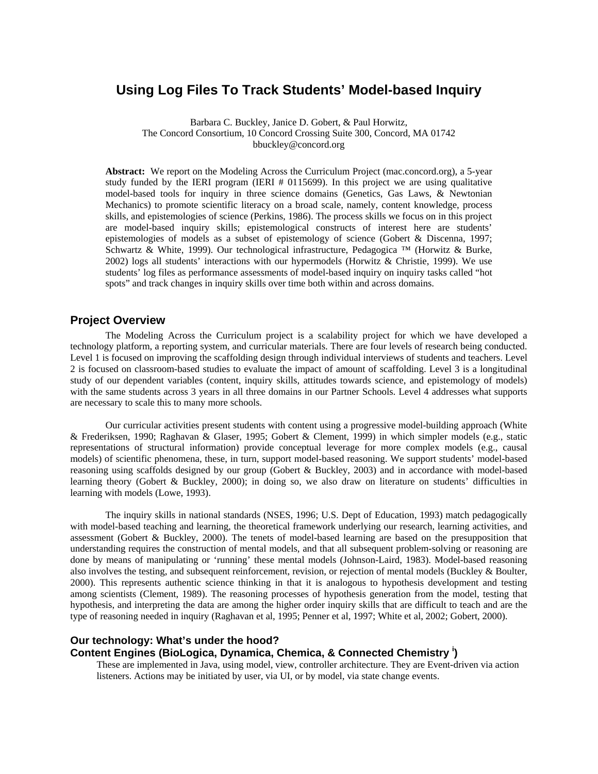# **Using Log Files To Track Students' Model-based Inquiry**

Barbara C. Buckley, Janice D. Gobert, & Paul Horwitz, The Concord Consortium, 10 Concord Crossing Suite 300, Concord, MA 01742 bbuckley@concord.org

Abstract: We report on the Modeling Across the Curriculum Project (mac.concord.org), a 5-year study funded by the IERI program (IERI # 0115699). In this project we are using qualitative model-based tools for inquiry in three science domains (Genetics, Gas Laws, & Newtonian Mechanics) to promote scientific literacy on a broad scale, namely, content knowledge, process skills, and epistemologies of science (Perkins, 1986). The process skills we focus on in this project are model-based inquiry skills; epistemological constructs of interest here are students' epistemologies of models as a subset of epistemology of science (Gobert & Discenna, 1997; Schwartz & White, 1999). Our technological infrastructure, Pedagogica ™ (Horwitz & Burke, 2002) logs all students' interactions with our hypermodels (Horwitz & Christie, 1999). We use students' log files as performance assessments of model-based inquiry on inquiry tasks called "hot spots" and track changes in inquiry skills over time both within and across domains.

## **Project Overview**

The Modeling Across the Curriculum project is a scalability project for which we have developed a technology platform, a reporting system, and curricular materials. There are four levels of research being conducted. Level 1 is focused on improving the scaffolding design through individual interviews of students and teachers. Level 2 is focused on classroom-based studies to evaluate the impact of amount of scaffolding. Level 3 is a longitudinal study of our dependent variables (content, inquiry skills, attitudes towards science, and epistemology of models) with the same students across 3 years in all three domains in our Partner Schools. Level 4 addresses what supports are necessary to scale this to many more schools.

 Our curricular activities present students with content using a progressive model-building approach (White & Frederiksen, 1990; Raghavan & Glaser, 1995; Gobert & Clement, 1999) in which simpler models (e.g., static representations of structural information) provide conceptual leverage for more complex models (e.g., causal models) of scientific phenomena, these, in turn, support model-based reasoning. We support students' model-based reasoning using scaffolds designed by our group (Gobert & Buckley, 2003) and in accordance with model-based learning theory (Gobert & Buckley, 2000); in doing so, we also draw on literature on students' difficulties in learning with models (Lowe, 1993).

 The inquiry skills in national standards (NSES, 1996; U.S. Dept of Education, 1993) match pedagogically with model-based teaching and learning, the theoretical framework underlying our research, learning activities, and assessment (Gobert & Buckley, 2000). The tenets of model-based learning are based on the presupposition that understanding requires the construction of mental models, and that all subsequent problem-solving or reasoning are done by means of manipulating or 'running' these mental models (Johnson-Laird, 1983). Model-based reasoning also involves the testing, and subsequent reinforcement, revision, or rejection of mental models (Buckley & Boulter, 2000). This represents authentic science thinking in that it is analogous to hypothesis development and testing among scientists (Clement, 1989). The reasoning processes of hypothesis generation from the model, testing that hypothesis, and interpreting the data are among the higher order inquiry skills that are difficult to teach and are the type of reasoning needed in inquiry (Raghavan et al, 1995; Penner et al, 1997; White et al, 2002; Gobert, 2000).

## **Our technology: What's under the hood?**

## **Content Engines (BioLogica, Dynamica, Chemica, & Connected Chemistry <sup>i</sup> )**

These are implemented in Java, using model, view, controller architecture. They are Event-driven via action listeners. Actions may be initiated by user, via UI, or by model, via state change events.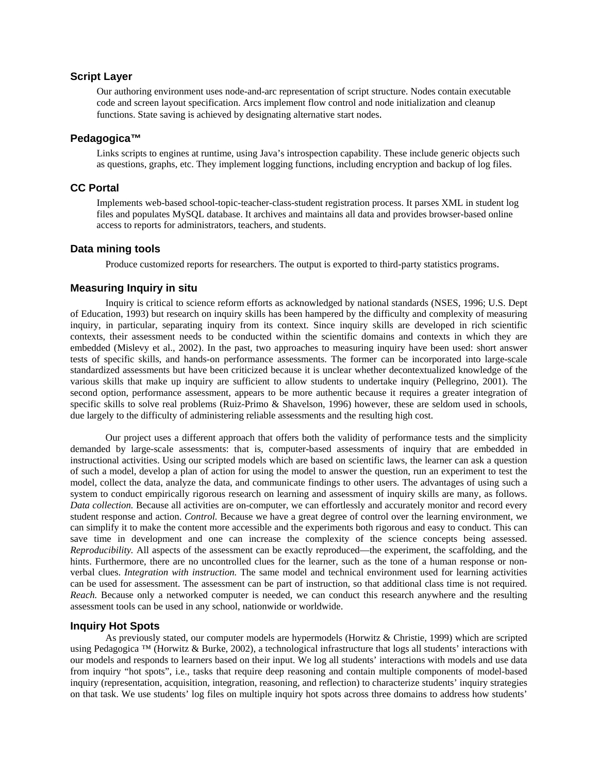## **Script Layer**

Our authoring environment uses node-and-arc representation of script structure. Nodes contain executable code and screen layout specification. Arcs implement flow control and node initialization and cleanup functions. State saving is achieved by designating alternative start nodes.

#### **Pedagogica™**

Links scripts to engines at runtime, using Java's introspection capability. These include generic objects such as questions, graphs, etc. They implement logging functions, including encryption and backup of log files.

## **CC Portal**

Implements web-based school-topic-teacher-class-student registration process. It parses XML in student log files and populates MySQL database. It archives and maintains all data and provides browser-based online access to reports for administrators, teachers, and students.

#### **Data mining tools**

Produce customized reports for researchers. The output is exported to third-party statistics programs.

#### **Measuring Inquiry in situ**

Inquiry is critical to science reform efforts as acknowledged by national standards (NSES, 1996; U.S. Dept of Education, 1993) but research on inquiry skills has been hampered by the difficulty and complexity of measuring inquiry, in particular, separating inquiry from its context. Since inquiry skills are developed in rich scientific contexts, their assessment needs to be conducted within the scientific domains and contexts in which they are embedded (Mislevy et al., 2002). In the past, two approaches to measuring inquiry have been used: short answer tests of specific skills, and hands-on performance assessments. The former can be incorporated into large-scale standardized assessments but have been criticized because it is unclear whether decontextualized knowledge of the various skills that make up inquiry are sufficient to allow students to undertake inquiry (Pellegrino, 2001). The second option, performance assessment, appears to be more authentic because it requires a greater integration of specific skills to solve real problems (Ruiz-Primo & Shavelson, 1996) however, these are seldom used in schools, due largely to the difficulty of administering reliable assessments and the resulting high cost.

Our project uses a different approach that offers both the validity of performance tests and the simplicity demanded by large-scale assessments: that is, computer-based assessments of inquiry that are embedded in instructional activities. Using our scripted models which are based on scientific laws, the learner can ask a question of such a model, develop a plan of action for using the model to answer the question, run an experiment to test the model, collect the data, analyze the data, and communicate findings to other users. The advantages of using such a system to conduct empirically rigorous research on learning and assessment of inquiry skills are many, as follows. *Data collection.* Because all activities are on-computer, we can effortlessly and accurately monitor and record every student response and action. *Control.* Because we have a great degree of control over the learning environment, we can simplify it to make the content more accessible and the experiments both rigorous and easy to conduct. This can save time in development and one can increase the complexity of the science concepts being assessed. *Reproducibility.* All aspects of the assessment can be exactly reproduced—the experiment, the scaffolding, and the hints. Furthermore, there are no uncontrolled clues for the learner, such as the tone of a human response or nonverbal clues. *Integration with instruction.* The same model and technical environment used for learning activities can be used for assessment. The assessment can be part of instruction, so that additional class time is not required. *Reach.* Because only a networked computer is needed, we can conduct this research anywhere and the resulting assessment tools can be used in any school, nationwide or worldwide.

#### **Inquiry Hot Spots**

As previously stated, our computer models are hypermodels (Horwitz & Christie, 1999) which are scripted using Pedagogica <sup>™</sup> (Horwitz & Burke, 2002), a technological infrastructure that logs all students' interactions with our models and responds to learners based on their input. We log all students' interactions with models and use data from inquiry "hot spots", i.e., tasks that require deep reasoning and contain multiple components of model-based inquiry (representation, acquisition, integration, reasoning, and reflection) to characterize students' inquiry strategies on that task. We use students' log files on multiple inquiry hot spots across three domains to address how students'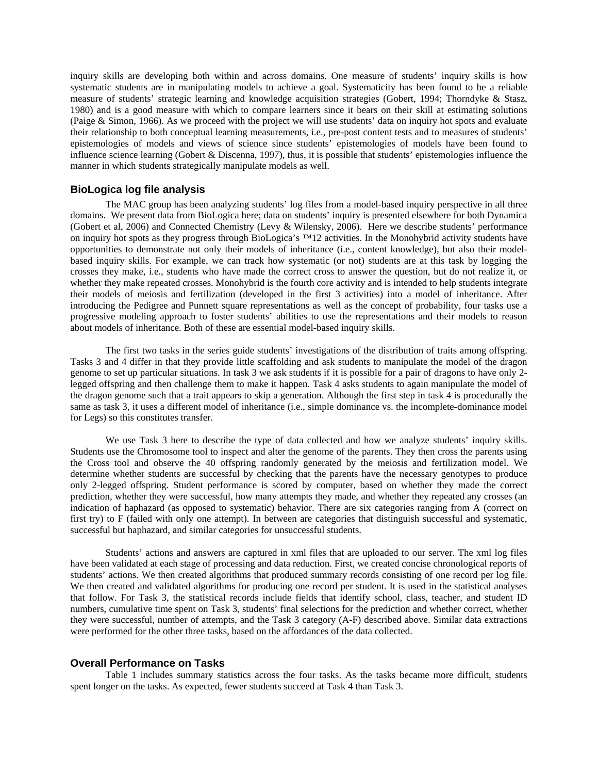inquiry skills are developing both within and across domains. One measure of students' inquiry skills is how systematic students are in manipulating models to achieve a goal. Systematicity has been found to be a reliable measure of students' strategic learning and knowledge acquisition strategies (Gobert, 1994; Thorndyke & Stasz, 1980) and is a good measure with which to compare learners since it bears on their skill at estimating solutions (Paige & Simon, 1966). As we proceed with the project we will use students' data on inquiry hot spots and evaluate their relationship to both conceptual learning measurements, i.e., pre-post content tests and to measures of students' epistemologies of models and views of science since students' epistemologies of models have been found to influence science learning (Gobert & Discenna, 1997), thus, it is possible that students' epistemologies influence the manner in which students strategically manipulate models as well.

#### **BioLogica log file analysis**

The MAC group has been analyzing students' log files from a model-based inquiry perspective in all three domains. We present data from BioLogica here; data on students' inquiry is presented elsewhere for both Dynamica (Gobert et al, 2006) and Connected Chemistry (Levy & Wilensky, 2006). Here we describe students' performance on inquiry hot spots as they progress through BioLogica's ™12 activities. In the Monohybrid activity students have opportunities to demonstrate not only their models of inheritance (i.e., content knowledge), but also their modelbased inquiry skills. For example, we can track how systematic (or not) students are at this task by logging the crosses they make, i.e., students who have made the correct cross to answer the question, but do not realize it, or whether they make repeated crosses. Monohybrid is the fourth core activity and is intended to help students integrate their models of meiosis and fertilization (developed in the first 3 activities) into a model of inheritance. After introducing the Pedigree and Punnett square representations as well as the concept of probability, four tasks use a progressive modeling approach to foster students' abilities to use the representations and their models to reason about models of inheritance. Both of these are essential model-based inquiry skills.

 The first two tasks in the series guide students' investigations of the distribution of traits among offspring. Tasks 3 and 4 differ in that they provide little scaffolding and ask students to manipulate the model of the dragon genome to set up particular situations. In task 3 we ask students if it is possible for a pair of dragons to have only 2 legged offspring and then challenge them to make it happen. Task 4 asks students to again manipulate the model of the dragon genome such that a trait appears to skip a generation. Although the first step in task 4 is procedurally the same as task 3, it uses a different model of inheritance (i.e., simple dominance vs. the incomplete-dominance model for Legs) so this constitutes transfer.

 We use Task 3 here to describe the type of data collected and how we analyze students' inquiry skills. Students use the Chromosome tool to inspect and alter the genome of the parents. They then cross the parents using the Cross tool and observe the 40 offspring randomly generated by the meiosis and fertilization model. We determine whether students are successful by checking that the parents have the necessary genotypes to produce only 2-legged offspring. Student performance is scored by computer, based on whether they made the correct prediction, whether they were successful, how many attempts they made, and whether they repeated any crosses (an indication of haphazard (as opposed to systematic) behavior. There are six categories ranging from A (correct on first try) to F (failed with only one attempt). In between are categories that distinguish successful and systematic, successful but haphazard, and similar categories for unsuccessful students.

 Students' actions and answers are captured in xml files that are uploaded to our server. The xml log files have been validated at each stage of processing and data reduction. First, we created concise chronological reports of students' actions. We then created algorithms that produced summary records consisting of one record per log file. We then created and validated algorithms for producing one record per student. It is used in the statistical analyses that follow. For Task 3, the statistical records include fields that identify school, class, teacher, and student ID numbers, cumulative time spent on Task 3, students' final selections for the prediction and whether correct, whether they were successful, number of attempts, and the Task 3 category (A-F) described above. Similar data extractions were performed for the other three tasks, based on the affordances of the data collected.

#### **Overall Performance on Tasks**

Table 1 includes summary statistics across the four tasks. As the tasks became more difficult, students spent longer on the tasks. As expected, fewer students succeed at Task 4 than Task 3.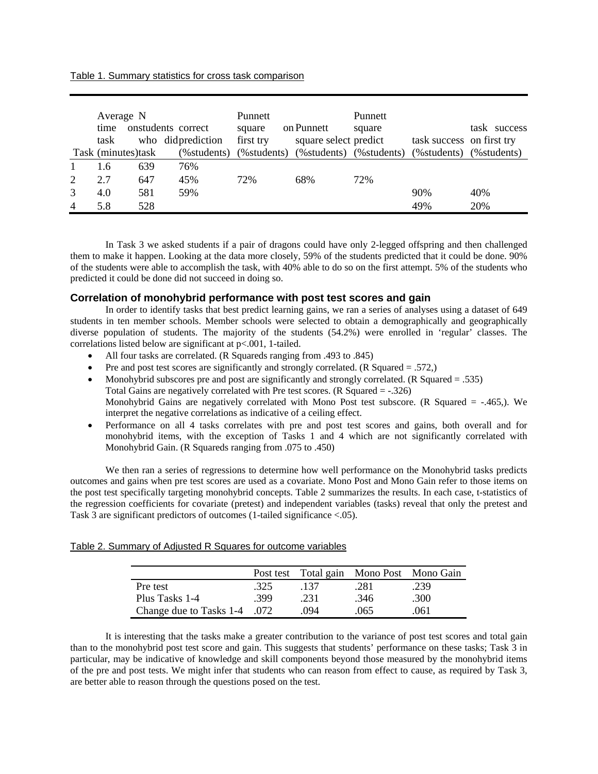#### Table 1. Summary statistics for cross task comparison

|                | Average N<br>onstudents correct<br>time |     |                   | Punnett<br>square | on Punnett                          | Punnett<br>square |                           | task success |
|----------------|-----------------------------------------|-----|-------------------|-------------------|-------------------------------------|-------------------|---------------------------|--------------|
|                | task                                    |     | who didprediction | first try         | square select predict               |                   | task success on first try |              |
|                | Task (minutes)task                      |     | (%students)       |                   | (%students) (%students) (%students) |                   | (% students) (% students) |              |
|                | 1.6                                     | 639 | 76%               |                   |                                     |                   |                           |              |
| 2              | 2.7                                     | 647 | 45%               | 72%               | 68%                                 | 72%               |                           |              |
| 3              | 4.0                                     | 581 | 59%               |                   |                                     |                   | 90%                       | 40%          |
| $\overline{4}$ | 5.8                                     | 528 |                   |                   |                                     |                   | 49%                       | 20%          |

In Task 3 we asked students if a pair of dragons could have only 2-legged offspring and then challenged them to make it happen. Looking at the data more closely, 59% of the students predicted that it could be done. 90% of the students were able to accomplish the task, with 40% able to do so on the first attempt. 5% of the students who predicted it could be done did not succeed in doing so.

## **Correlation of monohybrid performance with post test scores and gain**

In order to identify tasks that best predict learning gains, we ran a series of analyses using a dataset of 649 students in ten member schools. Member schools were selected to obtain a demographically and geographically diverse population of students. The majority of the students (54.2%) were enrolled in 'regular' classes. The correlations listed below are significant at p<.001, 1-tailed.

- All four tasks are correlated. (R Squareds ranging from .493 to .845)
- Pre and post test scores are significantly and strongly correlated. (R Squared  $= .572$ .)
- Monohybrid subscores pre and post are significantly and strongly correlated. (R Squared = .535) Total Gains are negatively correlated with Pre test scores. (R Squared = -.326) Monohybrid Gains are negatively correlated with Mono Post test subscore. (R Squared  $=$  -.465,). We interpret the negative correlations as indicative of a ceiling effect.
- Performance on all 4 tasks correlates with pre and post test scores and gains, both overall and for monohybrid items, with the exception of Tasks 1 and 4 which are not significantly correlated with Monohybrid Gain. (R Squareds ranging from .075 to .450)

 We then ran a series of regressions to determine how well performance on the Monohybrid tasks predicts outcomes and gains when pre test scores are used as a covariate. Mono Post and Mono Gain refer to those items on the post test specifically targeting monohybrid concepts. Table 2 summarizes the results. In each case, t-statistics of the regression coefficients for covariate (pretest) and independent variables (tasks) reveal that only the pretest and Task 3 are significant predictors of outcomes (1-tailed significance <.05).

#### Table 2. Summary of Adjusted R Squares for outcome variables

|                              |      |      | Post test Total gain Mono Post Mono Gain |      |
|------------------------------|------|------|------------------------------------------|------|
| Pre test                     | .325 | .137 | .281                                     | .239 |
| Plus Tasks 1-4               | -399 | .231 | .346                                     | .300 |
| Change due to Tasks 1-4 .072 |      | 094  | .065                                     | 061  |

It is interesting that the tasks make a greater contribution to the variance of post test scores and total gain than to the monohybrid post test score and gain. This suggests that students' performance on these tasks; Task 3 in particular, may be indicative of knowledge and skill components beyond those measured by the monohybrid items of the pre and post tests. We might infer that students who can reason from effect to cause, as required by Task 3, are better able to reason through the questions posed on the test.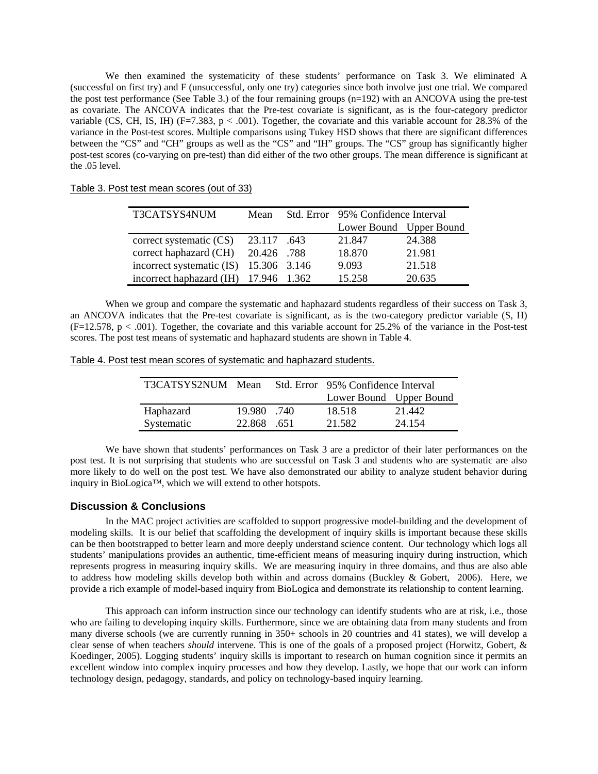We then examined the systematicity of these students' performance on Task 3. We eliminated A (successful on first try) and F (unsuccessful, only one try) categories since both involve just one trial. We compared the post test performance (See Table 3.) of the four remaining groups (n=192) with an ANCOVA using the pre-test as covariate. The ANCOVA indicates that the Pre-test covariate is significant, as is the four-category predictor variable (CS, CH, IS, IH) ( $F=7.383$ ,  $p < .001$ ). Together, the covariate and this variable account for 28.3% of the variance in the Post-test scores. Multiple comparisons using Tukey HSD shows that there are significant differences between the "CS" and "CH" groups as well as the "CS" and "IH" groups. The "CS" group has significantly higher post-test scores (co-varying on pre-test) than did either of the two other groups. The mean difference is significant at the .05 level.

| T3CATSYS4NUM                           | Mean        | Std. Error 95% Confidence Interval |        |
|----------------------------------------|-------------|------------------------------------|--------|
|                                        |             | Lower Bound Upper Bound            |        |
| correct systematic (CS)                | 43.117.643  | 21.847                             | 24.388 |
| correct haphazard (CH)                 | 20.426 .788 | 18.870                             | 21.981 |
| incorrect systematic (IS) 15.306 3.146 |             | 9.093                              | 21.518 |
| incorrect haphazard (IH) 17.946 1.362  |             | 15.258                             | 20.635 |

Table 3. Post test mean scores (out of 33)

When we group and compare the systematic and haphazard students regardless of their success on Task 3, an ANCOVA indicates that the Pre-test covariate is significant, as is the two-category predictor variable (S, H)  $(F=12.578, p < .001)$ . Together, the covariate and this variable account for 25.2% of the variance in the Post-test scores. The post test means of systematic and haphazard students are shown in Table 4.

Table 4. Post test mean scores of systematic and haphazard students.

| T3CATSYS2NUM Mean |            |       | Std. Error 95% Confidence Interval |        |
|-------------------|------------|-------|------------------------------------|--------|
|                   |            |       | Lower Bound Upper Bound            |        |
| Haphazard         | 19.980     | - 740 | 18.518                             | 21.442 |
| Systematic        | 22.868 651 |       | 21.582                             | 24.154 |

We have shown that students' performances on Task 3 are a predictor of their later performances on the post test. It is not surprising that students who are successful on Task 3 and students who are systematic are also more likely to do well on the post test. We have also demonstrated our ability to analyze student behavior during inquiry in BioLogica™, which we will extend to other hotspots.

#### **Discussion & Conclusions**

In the MAC project activities are scaffolded to support progressive model-building and the development of modeling skills. It is our belief that scaffolding the development of inquiry skills is important because these skills can be then bootstrapped to better learn and more deeply understand science content. Our technology which logs all students' manipulations provides an authentic, time-efficient means of measuring inquiry during instruction, which represents progress in measuring inquiry skills. We are measuring inquiry in three domains, and thus are also able to address how modeling skills develop both within and across domains (Buckley & Gobert, 2006). Here, we provide a rich example of model-based inquiry from BioLogica and demonstrate its relationship to content learning.

This approach can inform instruction since our technology can identify students who are at risk, i.e., those who are failing to developing inquiry skills. Furthermore, since we are obtaining data from many students and from many diverse schools (we are currently running in 350+ schools in 20 countries and 41 states), we will develop a clear sense of when teachers *should* intervene. This is one of the goals of a proposed project (Horwitz, Gobert, & Koedinger, 2005). Logging students' inquiry skills is important to research on human cognition since it permits an excellent window into complex inquiry processes and how they develop. Lastly, we hope that our work can inform technology design, pedagogy, standards, and policy on technology-based inquiry learning.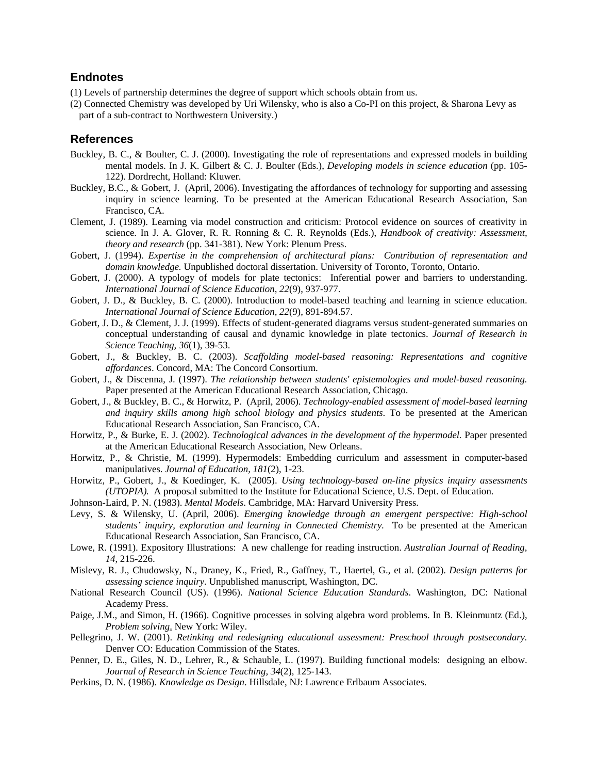## **Endnotes**

- (1) Levels of partnership determines the degree of support which schools obtain from us.
- (2) Connected Chemistry was developed by Uri Wilensky, who is also a Co-PI on this project, & Sharona Levy as part of a sub-contract to Northwestern University.)

## **References**

- Buckley, B. C., & Boulter, C. J. (2000). Investigating the role of representations and expressed models in building mental models. In J. K. Gilbert & C. J. Boulter (Eds.), *Developing models in science education* (pp. 105- 122). Dordrecht, Holland: Kluwer.
- Buckley, B.C., & Gobert, J. (April, 2006). Investigating the affordances of technology for supporting and assessing inquiry in science learning. To be presented at the American Educational Research Association, San Francisco, CA.
- Clement, J. (1989). Learning via model construction and criticism: Protocol evidence on sources of creativity in science. In J. A. Glover, R. R. Ronning & C. R. Reynolds (Eds.), *Handbook of creativity: Assessment, theory and research* (pp. 341-381). New York: Plenum Press.
- Gobert, J. (1994). *Expertise in the comprehension of architectural plans: Contribution of representation and domain knowledge.* Unpublished doctoral dissertation. University of Toronto, Toronto, Ontario.
- Gobert, J. (2000). A typology of models for plate tectonics: Inferential power and barriers to understanding. *International Journal of Science Education, 22*(9), 937-977.
- Gobert, J. D., & Buckley, B. C. (2000). Introduction to model-based teaching and learning in science education. *International Journal of Science Education, 22*(9), 891-894.57.
- Gobert, J. D., & Clement, J. J. (1999). Effects of student-generated diagrams versus student-generated summaries on conceptual understanding of causal and dynamic knowledge in plate tectonics. *Journal of Research in Science Teaching, 36*(1), 39-53.
- Gobert, J., & Buckley, B. C. (2003). *Scaffolding model-based reasoning: Representations and cognitive affordances*. Concord, MA: The Concord Consortium.
- Gobert, J., & Discenna, J. (1997). *The relationship between students' epistemologies and model-based reasoning.* Paper presented at the American Educational Research Association, Chicago.
- Gobert, J., & Buckley, B. C., & Horwitz, P. (April, 2006). *Technology-enabled assessment of model-based learning and inquiry skills among high school biology and physics students*. To be presented at the American Educational Research Association, San Francisco, CA.
- Horwitz, P., & Burke, E. J. (2002). *Technological advances in the development of the hypermodel.* Paper presented at the American Educational Research Association, New Orleans.
- Horwitz, P., & Christie, M. (1999). Hypermodels: Embedding curriculum and assessment in computer-based manipulatives. *Journal of Education, 181*(2), 1-23.
- Horwitz, P., Gobert, J., & Koedinger, K. (2005). *Using technology-based on-line physics inquiry assessments (UTOPIA).* A proposal submitted to the Institute for Educational Science, U.S. Dept. of Education.
- Johnson-Laird, P. N. (1983). *Mental Models*. Cambridge, MA: Harvard University Press.
- Levy, S. & Wilensky, U. (April, 2006). *Emerging knowledge through an emergent perspective: High-school students' inquiry, exploration and learning in Connected Chemistry.* To be presented at the American Educational Research Association, San Francisco, CA.
- Lowe, R. (1991). Expository Illustrations: A new challenge for reading instruction. *Australian Journal of Reading, 14*, 215-226.
- Mislevy, R. J., Chudowsky, N., Draney, K., Fried, R., Gaffney, T., Haertel, G., et al. (2002). *Design patterns for assessing science inquiry*. Unpublished manuscript, Washington, DC.
- National Research Council (US). (1996). *National Science Education Standards*. Washington, DC: National Academy Press.
- Paige, J.M., and Simon, H. (1966). Cognitive processes in solving algebra word problems. In B. Kleinmuntz (Ed.), *Problem solving*. New York: Wiley.
- Pellegrino, J. W. (2001). *Retinking and redesigning educational assessment: Preschool through postsecondary.* Denver CO: Education Commission of the States.
- Penner, D. E., Giles, N. D., Lehrer, R., & Schauble, L. (1997). Building functional models: designing an elbow. *Journal of Research in Science Teaching, 34*(2), 125-143.
- Perkins, D. N. (1986). *Knowledge as Design*. Hillsdale, NJ: Lawrence Erlbaum Associates.